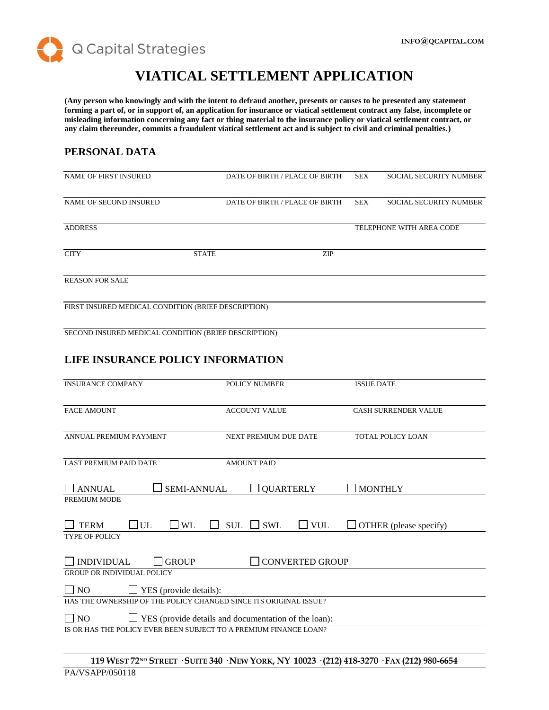

## **VIATICAL SETTLEMENT APPLICATION**

**(Any person who knowingly and with the intent to defraud another, presents or causes to be presented any statement forming a part of, or in support of, an application for insurance or viatical settlement contract any false, incomplete or misleading information concerning any fact or thing material to the insurance policy or viatical settlement contract, or any claim thereunder, commits a fraudulent viatical settlement act and is subject to civil and criminal penalties.)**

## **PERSONAL DATA**

| NAME OF FIRST INSURED                                                                                         |                    |                       | DATE OF BIRTH / PLACE OF BIRTH | <b>SEX</b>        | <b>SOCIAL SECURITY NUMBER</b> |
|---------------------------------------------------------------------------------------------------------------|--------------------|-----------------------|--------------------------------|-------------------|-------------------------------|
| NAME OF SECOND INSURED                                                                                        |                    |                       | DATE OF BIRTH / PLACE OF BIRTH | <b>SEX</b>        | SOCIAL SECURITY NUMBER        |
| <b>ADDRESS</b>                                                                                                |                    |                       |                                |                   | TELEPHONE WITH AREA CODE      |
| <b>CITY</b>                                                                                                   | <b>STATE</b>       |                       | ZIP                            |                   |                               |
| <b>REASON FOR SALE</b>                                                                                        |                    |                       |                                |                   |                               |
| FIRST INSURED MEDICAL CONDITION (BRIEF DESCRIPTION)                                                           |                    |                       |                                |                   |                               |
| SECOND INSURED MEDICAL CONDITION (BRIEF DESCRIPTION)                                                          |                    |                       |                                |                   |                               |
| LIFE INSURANCE POLICY INFORMATION                                                                             |                    |                       |                                |                   |                               |
| <b>INSURANCE COMPANY</b>                                                                                      |                    | POLICY NUMBER         |                                | <b>ISSUE DATE</b> |                               |
| <b>FACE AMOUNT</b>                                                                                            |                    | <b>ACCOUNT VALUE</b>  |                                |                   | CASH SURRENDER VALUE          |
| ANNUAL PREMIUM PAYMENT                                                                                        |                    | NEXT PREMIUM DUE DATE |                                |                   | TOTAL POLICY LOAN             |
| <b>LAST PREMIUM PAID DATE</b>                                                                                 |                    | <b>AMOUNT PAID</b>    |                                |                   |                               |
| $\Box$ ANNUAL<br>PREMIUM MODE                                                                                 | <b>SEMI-ANNUAL</b> | <b>QUARTERLY</b>      |                                |                   | <b>MONTHLY</b>                |
| <b>UL</b><br>$\exists$ WL<br><b>TERM</b><br>TYPE OF POLICY                                                    | <b>SUL</b>         | $\Box$ SWL            | $\Box$ VUL                     |                   | $\Box$ OTHER (please specify) |
| $\Box$ INDIVIDUAL<br><b>GROUP</b>                                                                             |                    |                       | <b>CONVERTED GROUP</b>         |                   |                               |
| <b>GROUP OR INDIVIDUAL POLICY</b>                                                                             |                    |                       |                                |                   |                               |
| YES (provide details):<br>$\overline{N}$<br>HAS THE OWNERSHIP OF THE POLICY CHANGED SINCE ITS ORIGINAL ISSUE? |                    |                       |                                |                   |                               |
| $\Box$ NO<br>$\Box$ YES (provide details and documentation of the loan):                                      |                    |                       |                                |                   |                               |
| IS OR HAS THE POLICY EVER BEEN SUBJECT TO A PREMIUM FINANCE LOAN?                                             |                    |                       |                                |                   |                               |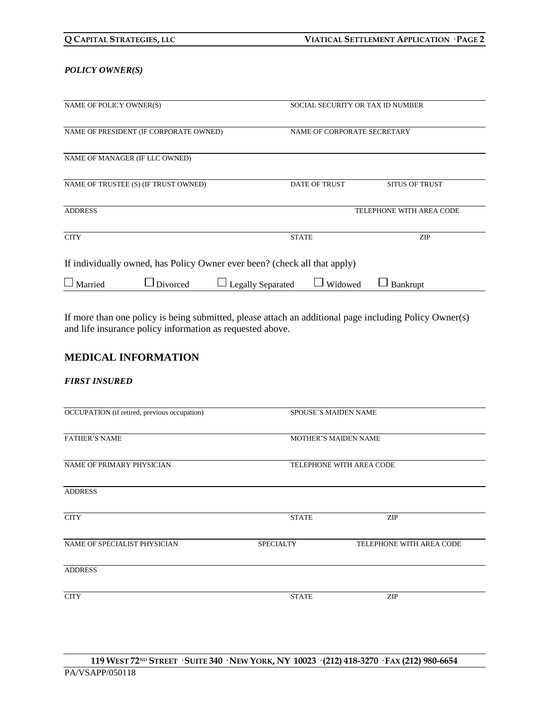#### *POLICY OWNER(S)*

| NAME OF POLICY OWNER(S)                                                   |                                                                       |                          | SOCIAL SECURITY OR TAX ID NUMBER |                          |  |
|---------------------------------------------------------------------------|-----------------------------------------------------------------------|--------------------------|----------------------------------|--------------------------|--|
|                                                                           | NAME OF PRESIDENT (IF CORPORATE OWNED)<br>NAME OF CORPORATE SECRETARY |                          |                                  |                          |  |
| NAME OF MANAGER (IF LLC OWNED)                                            |                                                                       |                          |                                  |                          |  |
| NAME OF TRUSTEE (S) (IF TRUST OWNED)                                      |                                                                       |                          | <b>DATE OF TRUST</b>             | <b>SITUS OF TRUST</b>    |  |
| <b>ADDRESS</b>                                                            |                                                                       |                          |                                  | TELEPHONE WITH AREA CODE |  |
| <b>CITY</b>                                                               |                                                                       |                          | <b>STATE</b>                     | <b>ZIP</b>               |  |
| If individually owned, has Policy Owner ever been? (check all that apply) |                                                                       |                          |                                  |                          |  |
| $\Box$ Married                                                            | Divorced                                                              | $\Box$ Legally Separated | Widowed                          | Bankrupt                 |  |

If more than one policy is being submitted, please attach an additional page including Policy Owner(s) and life insurance policy information as requested above.

## **MEDICAL INFORMATION**

#### *FIRST INSURED*

| OCCUPATION (if retired, previous occupation) | <b>SPOUSE'S MAIDEN NAME</b> |                          |  |
|----------------------------------------------|-----------------------------|--------------------------|--|
| <b>FATHER'S NAME</b>                         | <b>MOTHER'S MAIDEN NAME</b> |                          |  |
| NAME OF PRIMARY PHYSICIAN                    | TELEPHONE WITH AREA CODE    |                          |  |
| <b>ADDRESS</b>                               |                             |                          |  |
| <b>CITY</b>                                  | <b>STATE</b>                | <b>ZIP</b>               |  |
| NAME OF SPECIALIST PHYSICIAN                 | <b>SPECIALTY</b>            | TELEPHONE WITH AREA CODE |  |
| <b>ADDRESS</b>                               |                             |                          |  |
| <b>CITY</b>                                  | <b>STATE</b>                | <b>ZIP</b>               |  |
|                                              |                             |                          |  |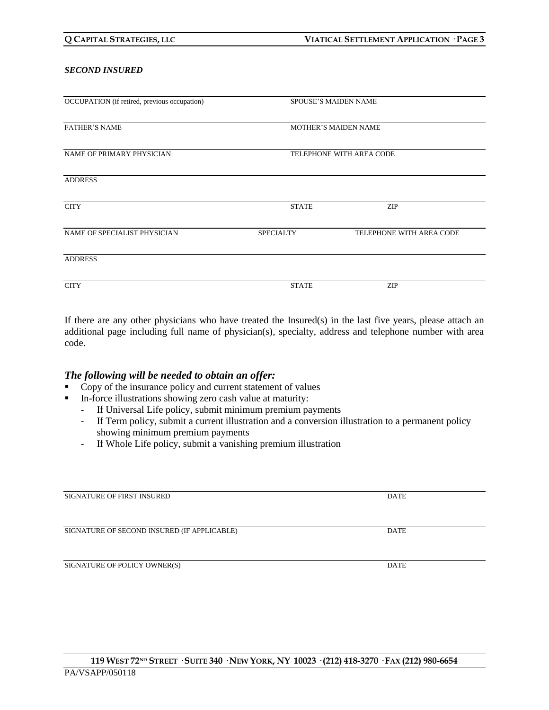#### *SECOND INSURED*

| OCCUPATION (if retired, previous occupation) | <b>SPOUSE'S MAIDEN NAME</b> |                          |  |
|----------------------------------------------|-----------------------------|--------------------------|--|
| <b>FATHER'S NAME</b>                         | <b>MOTHER'S MAIDEN NAME</b> |                          |  |
| NAME OF PRIMARY PHYSICIAN                    | TELEPHONE WITH AREA CODE    |                          |  |
| <b>ADDRESS</b>                               |                             |                          |  |
| <b>CITY</b>                                  | <b>STATE</b>                | <b>ZIP</b>               |  |
| NAME OF SPECIALIST PHYSICIAN                 | <b>SPECIALTY</b>            | TELEPHONE WITH AREA CODE |  |
| <b>ADDRESS</b>                               |                             |                          |  |
| <b>CITY</b>                                  | <b>STATE</b>                | <b>ZIP</b>               |  |

If there are any other physicians who have treated the Insured(s) in the last five years, please attach an additional page including full name of physician(s), specialty, address and telephone number with area code.

#### *The following will be needed to obtain an offer:*

- Copy of the insurance policy and current statement of values
- **II** In-force illustrations showing zero cash value at maturity:
	- If Universal Life policy, submit minimum premium payments
	- If Term policy, submit a current illustration and a conversion illustration to a permanent policy showing minimum premium payments
	- If Whole Life policy, submit a vanishing premium illustration

| SIGNATURE OF FIRST INSURED                  | <b>DATE</b> |
|---------------------------------------------|-------------|
|                                             |             |
| SIGNATURE OF SECOND INSURED (IF APPLICABLE) | <b>DATE</b> |
| SIGNATURE OF POLICY OWNER(S)                | DATE        |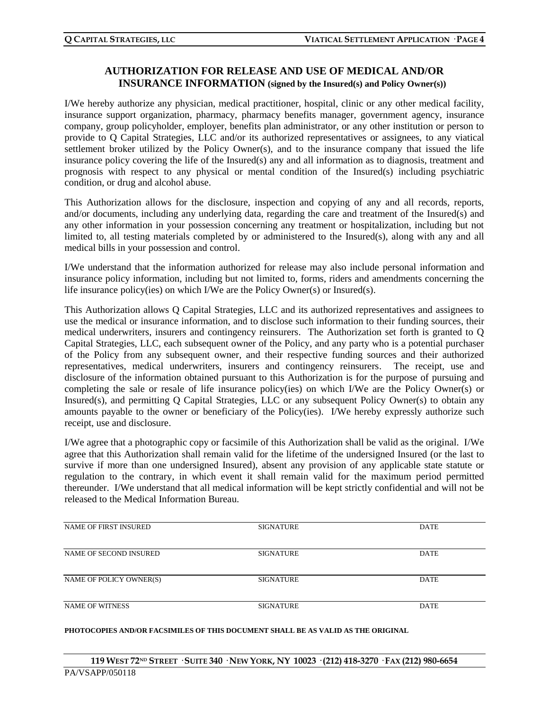## **AUTHORIZATION FOR RELEASE AND USE OF MEDICAL AND/OR INSURANCE INFORMATION (signed by the Insured(s) and Policy Owner(s))**

I/We hereby authorize any physician, medical practitioner, hospital, clinic or any other medical facility, insurance support organization, pharmacy, pharmacy benefits manager, government agency, insurance company, group policyholder, employer, benefits plan administrator, or any other institution or person to provide to Q Capital Strategies, LLC and/or its authorized representatives or assignees, to any viatical settlement broker utilized by the Policy Owner(s), and to the insurance company that issued the life insurance policy covering the life of the Insured(s) any and all information as to diagnosis, treatment and prognosis with respect to any physical or mental condition of the Insured(s) including psychiatric condition, or drug and alcohol abuse.

This Authorization allows for the disclosure, inspection and copying of any and all records, reports, and/or documents, including any underlying data, regarding the care and treatment of the Insured(s) and any other information in your possession concerning any treatment or hospitalization, including but not limited to, all testing materials completed by or administered to the Insured(s), along with any and all medical bills in your possession and control.

I/We understand that the information authorized for release may also include personal information and insurance policy information, including but not limited to, forms, riders and amendments concerning the life insurance policy(ies) on which I/We are the Policy Owner(s) or Insured(s).

This Authorization allows Q Capital Strategies, LLC and its authorized representatives and assignees to use the medical or insurance information, and to disclose such information to their funding sources, their medical underwriters, insurers and contingency reinsurers. The Authorization set forth is granted to Q Capital Strategies, LLC, each subsequent owner of the Policy, and any party who is a potential purchaser of the Policy from any subsequent owner, and their respective funding sources and their authorized representatives, medical underwriters, insurers and contingency reinsurers. The receipt, use and disclosure of the information obtained pursuant to this Authorization is for the purpose of pursuing and completing the sale or resale of life insurance policy(ies) on which I/We are the Policy Owner(s) or Insured(s), and permitting Q Capital Strategies, LLC or any subsequent Policy Owner(s) to obtain any amounts payable to the owner or beneficiary of the Policy(ies). I/We hereby expressly authorize such receipt, use and disclosure.

I/We agree that a photographic copy or facsimile of this Authorization shall be valid as the original. I/We agree that this Authorization shall remain valid for the lifetime of the undersigned Insured (or the last to survive if more than one undersigned Insured), absent any provision of any applicable state statute or regulation to the contrary, in which event it shall remain valid for the maximum period permitted thereunder. I/We understand that all medical information will be kept strictly confidential and will not be released to the Medical Information Bureau.

| <b>NAME OF FIRST INSURED</b> | <b>SIGNATURE</b> | DATE        |
|------------------------------|------------------|-------------|
|                              |                  |             |
| NAME OF SECOND INSURED       | <b>SIGNATURE</b> | DATE        |
|                              |                  |             |
| NAME OF POLICY OWNER(S)      | <b>SIGNATURE</b> | DATE        |
|                              |                  |             |
| <b>NAME OF WITNESS</b>       | <b>SIGNATURE</b> | <b>DATE</b> |
|                              |                  |             |

#### **PHOTOCOPIES AND/OR FACSIMILES OF THIS DOCUMENT SHALL BE AS VALID AS THE ORIGINAL**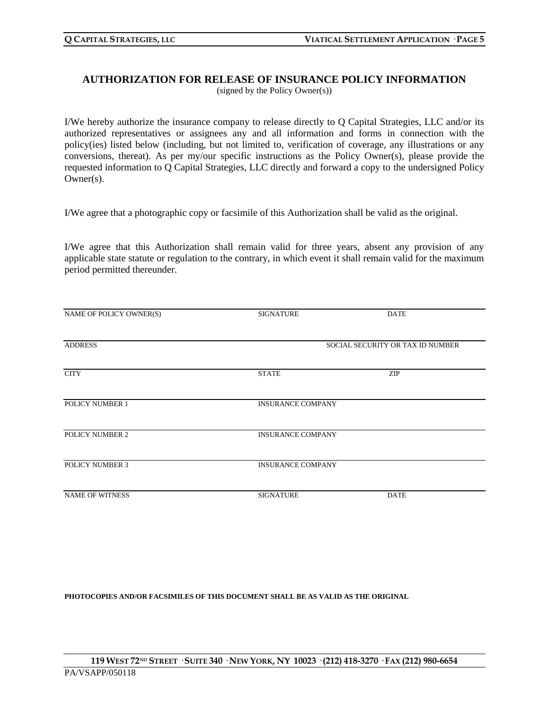# **AUTHORIZATION FOR RELEASE OF INSURANCE POLICY INFORMATION**

(signed by the Policy Owner(s))

I/We hereby authorize the insurance company to release directly to Q Capital Strategies, LLC and/or its authorized representatives or assignees any and all information and forms in connection with the policy(ies) listed below (including, but not limited to, verification of coverage, any illustrations or any conversions, thereat). As per my/our specific instructions as the Policy Owner(s), please provide the requested information to Q Capital Strategies, LLC directly and forward a copy to the undersigned Policy Owner(s).

I/We agree that a photographic copy or facsimile of this Authorization shall be valid as the original.

I/We agree that this Authorization shall remain valid for three years, absent any provision of any applicable state statute or regulation to the contrary, in which event it shall remain valid for the maximum period permitted thereunder.

| NAME OF POLICY OWNER(S) | <b>SIGNATURE</b>         | <b>DATE</b>                      |
|-------------------------|--------------------------|----------------------------------|
|                         |                          |                                  |
| <b>ADDRESS</b>          |                          | SOCIAL SECURITY OR TAX ID NUMBER |
| <b>CITY</b>             | <b>STATE</b>             | ZIP                              |
|                         |                          |                                  |
| POLICY NUMBER 1         | <b>INSURANCE COMPANY</b> |                                  |
| POLICY NUMBER 2         | <b>INSURANCE COMPANY</b> |                                  |
| POLICY NUMBER 3         | <b>INSURANCE COMPANY</b> |                                  |
|                         |                          |                                  |
| <b>NAME OF WITNESS</b>  | <b>SIGNATURE</b>         | <b>DATE</b>                      |

**PHOTOCOPIES AND/OR FACSIMILES OF THIS DOCUMENT SHALL BE AS VALID AS THE ORIGINAL**